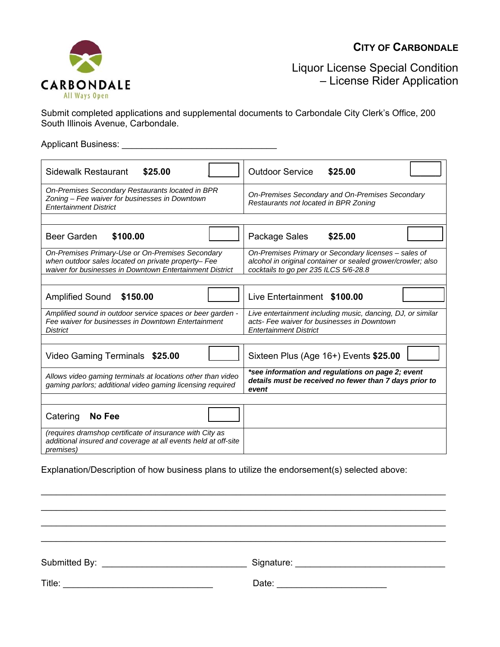## **CITY OF CARBONDALE**



Liquor License Special Condition – License Rider Application

Submit completed applications and supplemental documents to Carbondale City Clerk's Office, 200 South Illinois Avenue, Carbondale.

Applicant Business: \_\_\_\_\_\_\_\_\_\_\_\_\_\_\_\_\_\_\_\_\_\_\_\_\_\_\_\_\_\_\_

| <b>Sidewalk Restaurant</b><br>\$25.00                                                                                                                               | <b>Outdoor Service</b><br>\$25.00                                                                                                                             |
|---------------------------------------------------------------------------------------------------------------------------------------------------------------------|---------------------------------------------------------------------------------------------------------------------------------------------------------------|
| On-Premises Secondary Restaurants located in BPR<br>Zoning - Fee waiver for businesses in Downtown<br><b>Entertainment District</b>                                 | On-Premises Secondary and On-Premises Secondary<br>Restaurants not located in BPR Zoning                                                                      |
|                                                                                                                                                                     |                                                                                                                                                               |
| <b>Beer Garden</b><br>\$100.00                                                                                                                                      | Package Sales<br>\$25.00                                                                                                                                      |
| On-Premises Primary-Use or On-Premises Secondary<br>when outdoor sales located on private property- Fee<br>waiver for businesses in Downtown Entertainment District | On-Premises Primary or Secondary licenses - sales of<br>alcohol in original container or sealed grower/crowler; also<br>cocktails to go per 235 ILCS 5/6-28.8 |
|                                                                                                                                                                     |                                                                                                                                                               |
| <b>Amplified Sound</b><br>\$150.00                                                                                                                                  | Live Entertainment \$100.00                                                                                                                                   |
| Amplified sound in outdoor service spaces or beer garden -<br>Fee waiver for businesses in Downtown Entertainment<br><b>District</b>                                | Live entertainment including music, dancing, DJ, or similar<br>acts- Fee waiver for businesses in Downtown<br><b>Entertainment District</b>                   |
|                                                                                                                                                                     |                                                                                                                                                               |
| Video Gaming Terminals \$25.00                                                                                                                                      | Sixteen Plus (Age 16+) Events \$25.00                                                                                                                         |
| Allows video gaming terminals at locations other than video<br>gaming parlors; additional video gaming licensing required                                           | *see information and regulations on page 2; event<br>details must be received no fewer than 7 days prior to<br>event                                          |
|                                                                                                                                                                     |                                                                                                                                                               |
| Catering<br>No Fee                                                                                                                                                  |                                                                                                                                                               |
| (requires dramshop certificate of insurance with City as<br>additional insured and coverage at all events held at off-site<br><i>premises</i> )                     |                                                                                                                                                               |

Explanation/Description of how business plans to utilize the endorsement(s) selected above:

| Submitted By: | Signature: |
|---------------|------------|
| Title:        | Date:      |

 $\_$  $\_$  $\_$